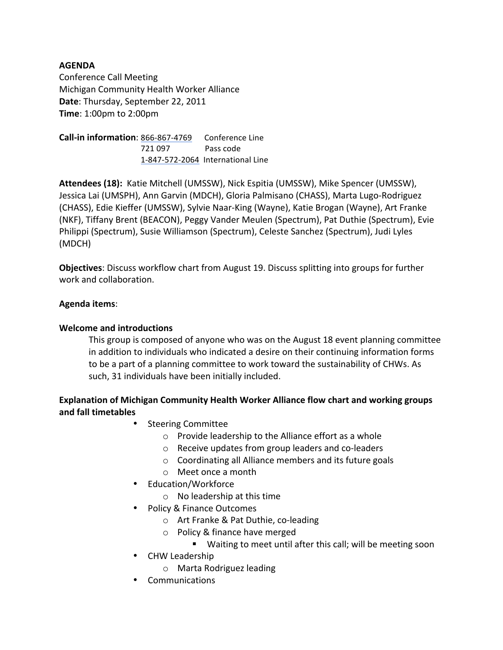### **AGENDA**

Conference
Call
Meeting Michigan
Community
Health
Worker
Alliance **Date**:
Thursday,
September
22,
2011 **Time**: 1:00pm to 2:00pm

Call-in information: 866-867-4769 Conference Line 721
097 Pass
code 1‐847‐572‐2064 International
Line

Attendees (18): Katie Mitchell (UMSSW), Nick Espitia (UMSSW), Mike Spencer (UMSSW), Jessica Lai (UMSPH), Ann Garvin (MDCH), Gloria Palmisano (CHASS), Marta Lugo-Rodriguez (CHASS), Edie Kieffer (UMSSW), Sylvie Naar-King (Wayne), Katie Brogan (Wayne), Art Franke (NKF),
Tiffany
Brent
(BEACON),
Peggy
Vander
Meulen
(Spectrum),
Pat
Duthie
(Spectrum),
Evie Philippi
(Spectrum),
Susie
Williamson
(Spectrum),
Celeste
Sanchez
(Spectrum),
Judi
Lyles (MDCH)

**Objectives**: Discuss workflow chart from August 19. Discuss splitting into groups for further work
and
collaboration.

## **Agenda
items**:

### **Welcome
and
introductions**

This
group
is
composed
of
anyone
who
was
on
the
August
18
event
planning
committee in addition to individuals who indicated a desire on their continuing information forms to be a part of a planning committee to work toward the sustainability of CHWs. As such,
31
individuals
have
been
initially
included.

# **Explanation of Michigan Community Health Worker Alliance flow chart and working groups and
fall
timetables**

- Steering
Committee
	- $\circ$  Provide leadership to the Alliance effort as a whole
	- o Receive
	updates
	from
	group
	leaders
	and
	co‐leaders
	- o Coordinating
	all
	Alliance
	members
	and
	its
	future
	goals
	- o Meet
	once
	a
	month
- Education/Workforce
	- o No
	leadership
	at
	this
	time
- Policy & Finance Outcomes
	- o Art
	Franke
	&
	Pat
	Duthie,
	co‐leading
	- o Policy
	&
	finance
	have
	merged
		- Waiting to meet until after this call; will be meeting soon
- CHW
Leadership
	- o Marta
	Rodriguez
	leading
- Communications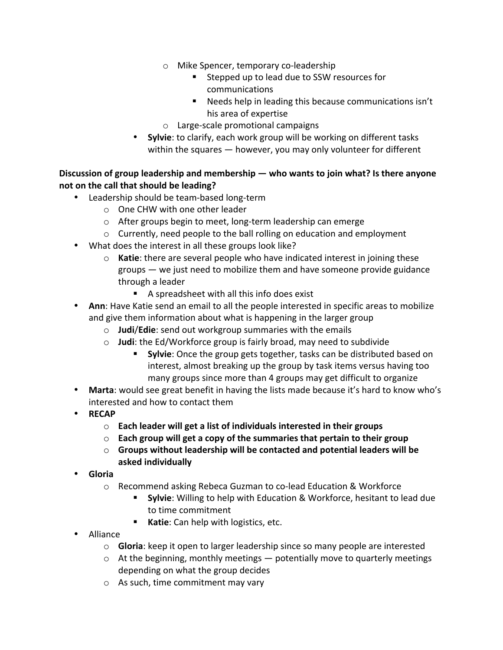- o Mike
Spencer,
temporary
co‐leadership
	- Stepped up to lead due to SSW resources for communications
	- Needs help in leading this because communications isn't his
	area
	of
	expertise
- o Large‐scale
promotional
campaigns
- Sylvie: to clarify, each work group will be working on different tasks within the squares – however, you may only volunteer for different

# Discussion of group leadership and membership — who wants to join what? Is there anyone **not
on
the
call
that
should
be
leading?**

- Leadership should be team-based long-term
	- o One
	CHW
	with
	one
	other
	leader
	- o After
	groups
	begin
	to
	meet,
	long‐term
	leadership
	can
	emerge
	- $\circ$  Currently, need people to the ball rolling on education and employment
- What does the interest in all these groups look like?
	- **Katie**: there are several people who have indicated interest in joining these groups
	— we
	just
	need
	to
	mobilize
	them
	and
	have
	someone
	provide
	guidance through
	a
	leader
		- A spreadsheet with all this info does exist
- Ann: Have Katie send an email to all the people interested in specific areas to mobilize and
give
them
information
about
what
is
happening
in
the
larger
group
	- o **Judi**/**Edie**:
	send
	out
	workgroup
	summaries
	with
	the
	emails
	- o **Judi**:
	the
	Ed/Workforce
	group
	is
	fairly
	broad,
	may
	need
	to
	subdivide
		- **Sylvie**: Once the group gets together, tasks can be distributed based on interest, almost breaking up the group by task items versus having too many
		groups
		since
		more
		than
		4
		groups
		may
		get
		difficult
		to
		organize
- Marta: would see great benefit in having the lists made because it's hard to know who's interested
and
how
to
contact
them
- **RECAP**
	- o **Each leader will get a list of individuals interested in their groups**
	- o **Each group will get a copy of the summaries that pertain to their group**
	- $\circ$  **Groups without leadership will be contacted and potential leaders will be asked
	individually**
- **Gloria**
	- Recommend asking Rebeca Guzman to co-lead Education & Workforce
		- Sylvie: Willing to help with Education & Workforce, hesitant to lead due to
		time
		commitment
		- **Katie:** Can help with logistics, etc.
- Alliance
	- $\circ$  **Gloria**: keep it open to larger leadership since so many people are interested
	- o At
	the
	beginning,
	monthly
	meetings
	 potentially
	move
	to
	quarterly
	meetings depending
	on
	what
	the
	group
	decides
	- o As
	such,
	time
	commitment
	may
	vary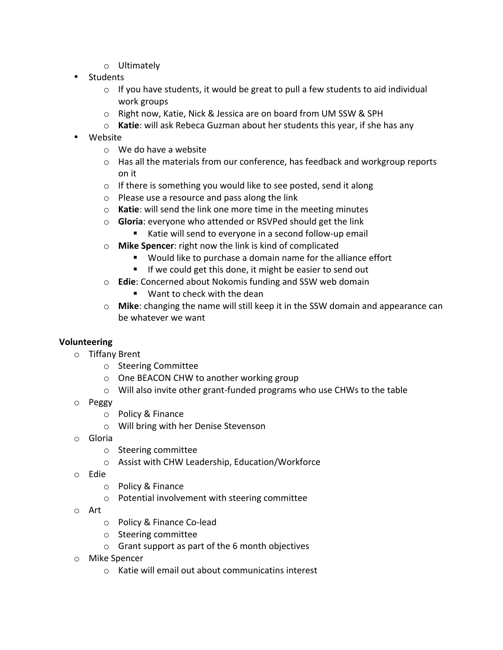- o Ultimately
- **Students** 
	- $\circ$  If you have students, it would be great to pull a few students to aid individual work
	groups
	- o Right now, Katie, Nick & Jessica are on board from UM SSW & SPH
	- $\circ$  **Katie**: will ask Rebeca Guzman about her students this year, if she has any
- Website
	- o We
	do
	have
	a
	website
	- o Has
	all
	the
	materials
	from
	our
	conference,
	has
	feedback
	and
	workgroup
	reports on
	it
	- o If
	there
	is
	something
	you
	would
	like
	to
	see
	posted,
	send
	it
	along
	- o Please
	use
	a
	resource
	and
	pass
	along
	the
	link
	- o **Katie**: will send the link one more time in the meeting minutes
	- o **Gloria**:
	everyone
	who
	attended
	or
	RSVPed
	should
	get
	the
	link
		- Katie will send to everyone in a second follow-up email
	- o **Mike
	Spencer**:
	right
	now
	the
	link
	is
	kind
	of
	complicated
		- Would like to purchase a domain name for the alliance effort
		- If we could get this done, it might be easier to send out
	- o **Edie**:
	Concerned
	about
	Nokomis
	funding
	and
	SSW
	web
	domain
		- Want to check with the dean
	- $\circ$  **Mike**: changing the name will still keep it in the SSW domain and appearance can be
	whatever
	we
	want

# **Volunteering**

- o Tiffany
Brent
	- o Steering
	Committee
	- o One
	BEACON
	CHW
	to
	another
	working
	group
	- o Will also invite other grant-funded programs who use CHWs to the table
- o Peggy
	- o Policy
	&
	Finance
	- o Will
	bring
	with
	her
	Denise
	Stevenson
- o Gloria
	- o Steering
	committee
	- o Assist
	with
	CHW
	Leadership,
	Education/Workforce
- o Edie
	- o Policy
	&
	Finance
	- o Potential
	involvement
	with
	steering
	committee
- o Art
	- o Policy
	&
	Finance
	Co‐lead
	- o Steering
	committee
	- $\circ$  Grant support as part of the 6 month objectives
- o Mike
Spencer
	- o Katie
	will
	email
	out
	about
	communicatins
	interest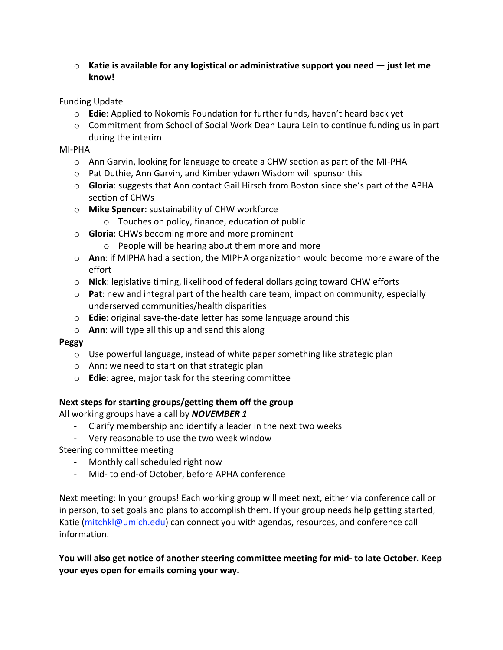# $\circ$  Katie is available for any logistical or administrative support you need  $-$  just let me **know!**

## Funding
Update

- o **Edie**: Applied to Nokomis Foundation for further funds, haven't heard back yet
- $\circ$  Commitment from School of Social Work Dean Laura Lein to continue funding us in part during
the
interim

### MI‐PHA

- $\circ$  Ann Garvin, looking for language to create a CHW section as part of the MI-PHA
- o Pat
Duthie,
Ann
Garvin,
and
Kimberlydawn
Wisdom
will
sponsor
this
- $\circ$  **Gloria**: suggests that Ann contact Gail Hirsch from Boston since she's part of the APHA section
of
CHWs
- o **Mike
Spencer**:
sustainability
of
CHW
workforce
	- o Touches
	on
	policy,
	finance,
	education
	of
	public
- o **Gloria**:
CHWs
becoming
more
and
more
prominent
	- o People
	will
	be
	hearing
	about
	them
	more
	and
	more
- $\circ$  **Ann**: if MIPHA had a section, the MIPHA organization would become more aware of the effort
- o Nick: legislative timing, likelihood of federal dollars going toward CHW efforts
- $\circ$  **Pat**: new and integral part of the health care team, impact on community, especially underserved
communities/health
disparities
- **Edie**: original save-the-date letter has some language around this
- $\circ$  **Ann**: will type all this up and send this along

# **Peggy**

- o Use
powerful
language,
instead
of
white
paper
something
like
strategic
plan
- o Ann:
we
need
to
start
on
that
strategic
plan
- o **Edie**:
agree,
major
task
for
the
steering
committee

# Next steps for starting groups/getting them off the group

All
working
groups
have
a
call
by *NOVEMBER
1*

- Clarify membership and identify a leader in the next two weeks
- Very reasonable to use the two week window
- Steering
committee
meeting
	- Monthly call scheduled right now
	- ‐ Mid‐
	to
	end‐of
	October,
	before
	APHA
	conference

Next meeting: In your groups! Each working group will meet next, either via conference call or in person, to set goals and plans to accomplish them. If your group needs help getting started, Katie (mitchkl@umich.edu) can connect you with agendas, resources, and conference call information.

You will also get notice of another steering committee meeting for mid- to late October. Keep your eyes open for emails coming your way.